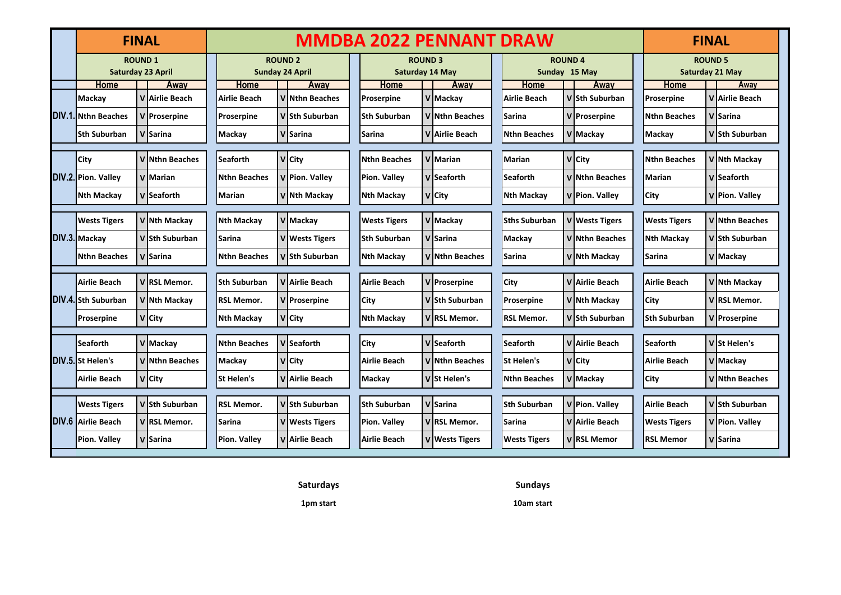| <b>FINAL</b>                       |  |                                          |                     | <b>MMDBA 2022 PENNANT DRAW</b> |                                  |  |                     |                                |                       |  |                      | <b>FINAL</b>                      |                       |                     |  |                       |
|------------------------------------|--|------------------------------------------|---------------------|--------------------------------|----------------------------------|--|---------------------|--------------------------------|-----------------------|--|----------------------|-----------------------------------|-----------------------|---------------------|--|-----------------------|
| <b>ROUND1</b><br>Saturday 23 April |  | <b>ROUND 2</b><br><b>Sunday 24 April</b> |                     |                                | <b>ROUND3</b><br>Saturday 14 May |  |                     | <b>ROUND4</b><br>Sunday 15 May |                       |  |                      | <b>ROUND 5</b><br>Saturday 21 May |                       |                     |  |                       |
| <b>Home</b>                        |  | Away                                     | <b>Home</b>         |                                | Away                             |  | <b>Home</b>         |                                | Away                  |  | Home                 |                                   | Away                  | <b>Home</b>         |  | Away                  |
| Mackay                             |  | V Airlie Beach                           | Airlie Beach        |                                | V Nthn Beaches                   |  | Proserpine          |                                | V Mackay              |  | Airlie Beach         |                                   | V Sth Suburban        | Proserpine          |  | V Airlie Beach        |
| <b>DIV.1.</b> Nthn Beaches         |  | V Proserpine                             | Proserpine          |                                | V Sth Suburban                   |  | <b>Sth Suburban</b> |                                | <b>VINthn Beaches</b> |  | <b>Sarina</b>        |                                   | V Proserpine          | <b>Nthn Beaches</b> |  | V Sarina              |
| <b>Sth Suburban</b>                |  | <b>V</b> Sarina                          | Mackay              |                                | V Sarina                         |  | Sarina              |                                | <b>VlAirlie Beach</b> |  | <b>Nthn Beaches</b>  |                                   | V Mackay              | Mackay              |  | V Sth Suburban        |
| City                               |  | V Nthn Beaches                           | <b>Seaforth</b>     |                                | <b>V</b> City                    |  | <b>Nthn Beaches</b> |                                | VMarian               |  | <b>Marian</b>        |                                   | <b>V</b> City         | <b>Nthn Beaches</b> |  | V Nth Mackay          |
| DIV.2. Pion. Valley                |  | <b>V</b> Marian                          | <b>Nthn Beaches</b> |                                | V Pion. Valley                   |  | Pion. Valley        |                                | VSeaforth             |  | <b>Seaforth</b>      |                                   | <b>VINthn Beaches</b> | <b>Marian</b>       |  | <b>V</b> Seaforth     |
| <b>Nth Mackay</b>                  |  | V Seaforth                               | <b>Marian</b>       |                                | V Nth Mackay                     |  | <b>Nth Mackay</b>   |                                | <b>V</b> City         |  | <b>Nth Mackay</b>    |                                   | V Pion. Valley        | City                |  | V Pion. Valley        |
| <b>Wests Tigers</b>                |  | V Nth Mackay                             | <b>Nth Mackay</b>   |                                | V Mackay                         |  | <b>Wests Tigers</b> |                                | V Mackay              |  | <b>Sths Suburban</b> |                                   | V Wests Tigers        | <b>Wests Tigers</b> |  | <b>VINthn Beaches</b> |
| DIV.3. Mackay                      |  | V Sth Suburban                           | <b>Sarina</b>       |                                | <b>V</b> Wests Tigers            |  | <b>Sth Suburban</b> |                                | VSarina               |  | Mackay               |                                   | <b>VINthn Beaches</b> | <b>Nth Mackay</b>   |  | V lSth Suburban       |
| <b>Nthn Beaches</b>                |  | <b>V</b> Sarina                          | <b>Nthn Beaches</b> |                                | V Sth Suburban                   |  | <b>Nth Mackav</b>   |                                | <b>VINthn Beaches</b> |  | <b>Sarina</b>        |                                   | <b>VINth Mackav</b>   | <b>Sarina</b>       |  | <b>V</b> Mackav       |
|                                    |  |                                          |                     |                                |                                  |  |                     |                                |                       |  |                      |                                   |                       |                     |  |                       |
| <b>Airlie Beach</b>                |  | V RSL Memor.                             | <b>Sth Suburban</b> |                                | V Airlie Beach                   |  | Airlie Beach        |                                | <b>V</b> Proserpine   |  | City                 |                                   | V Airlie Beach        | <b>Airlie Beach</b> |  | V Nth Mackay          |
| DIV.4. Sth Suburban                |  | V Nth Mackay                             | <b>RSL Memor.</b>   |                                | V Proserpine                     |  | <b>City</b>         |                                | V Sth Suburban        |  | <b>Proserpine</b>    |                                   | V Nth Mackay          | City                |  | V RSL Memor.          |
| <b>Proserpine</b>                  |  | <b>V</b> City                            | <b>Nth Mackay</b>   |                                | <b>V</b> City                    |  | <b>Nth Mackav</b>   |                                | V RSL Memor.          |  | RSL Memor.           |                                   | <b>VISth Suburban</b> | <b>Sth Suburban</b> |  | <b>V</b> Proserpine   |
| <b>Seaforth</b>                    |  | V Mackay                                 | <b>Nthn Beaches</b> |                                | <b>V</b> Seaforth                |  | City                |                                | <b>V</b> Seaforth     |  | <b>Seaforth</b>      |                                   | V Airlie Beach        | <b>Seaforth</b>     |  | V St Helen's          |
| DIV.5. St Helen's                  |  | <b>VINthn Beaches</b>                    | Mackay              |                                | V City                           |  | Airlie Beach        |                                | <b>VINthn Beaches</b> |  | <b>St Helen's</b>    |                                   | <b>V</b> City         | <b>Airlie Beach</b> |  | V Mackay              |
| <b>Airlie Beach</b>                |  | V City                                   | <b>St Helen's</b>   |                                | <b>VlAirlie Beach</b>            |  | Mackay              |                                | VISt Helen's          |  | <b>Nthn Beaches</b>  |                                   | V Mackay              | <b>City</b>         |  | <b>VINthn Beaches</b> |
|                                    |  |                                          |                     |                                |                                  |  |                     |                                |                       |  |                      |                                   |                       |                     |  |                       |
| <b>Wests Tigers</b>                |  | V Sth Suburban                           | <b>RSL Memor.</b>   |                                | V Sth Suburban                   |  | <b>Sth Suburban</b> |                                | <b>V</b> Sarina       |  | <b>Sth Suburban</b>  |                                   | V Pion. Valley        | <b>Airlie Beach</b> |  | V Sth Suburban        |
| <b>DIV.6</b> Airlie Beach          |  | <b>VIRSL Memor.</b>                      | <b>Sarina</b>       |                                | V Wests Tigers                   |  | Pion. Valley        |                                | V RSL Memor.          |  | <b>Sarina</b>        |                                   | <b>V</b> Airlie Beach | <b>Wests Tigers</b> |  | V Pion. Valley        |
| Pion. Valley                       |  | V Sarina                                 | Pion. Valley        |                                | V Airlie Beach                   |  | Airlie Beach        |                                | V Wests Tigers        |  | <b>Wests Tigers</b>  |                                   | <b>VIRSL Memor</b>    | <b>RSL Memor</b>    |  | V Sarina              |

**Saturdays Sundays**

**1pm start 10am start**